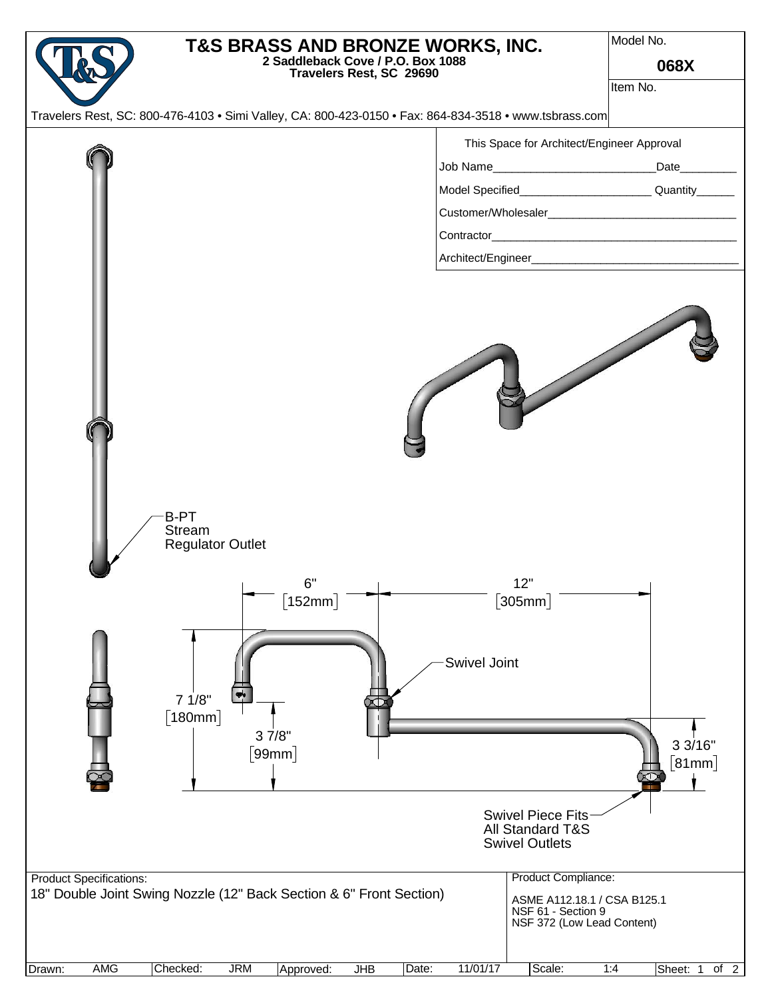